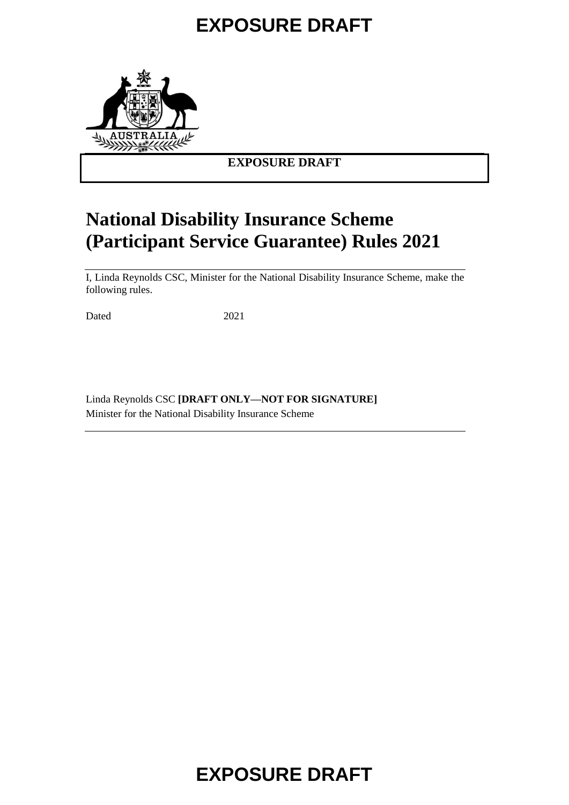

### **EXPOSURE DRAFT**

### **National Disability Insurance Scheme (Participant Service Guarantee) Rules 2021**

I, Linda Reynolds CSC, Minister for the National Disability Insurance Scheme, make the following rules.

Dated 2021

Linda Reynolds CSC **[DRAFT ONLY—NOT FOR SIGNATURE]** Minister for the National Disability Insurance Scheme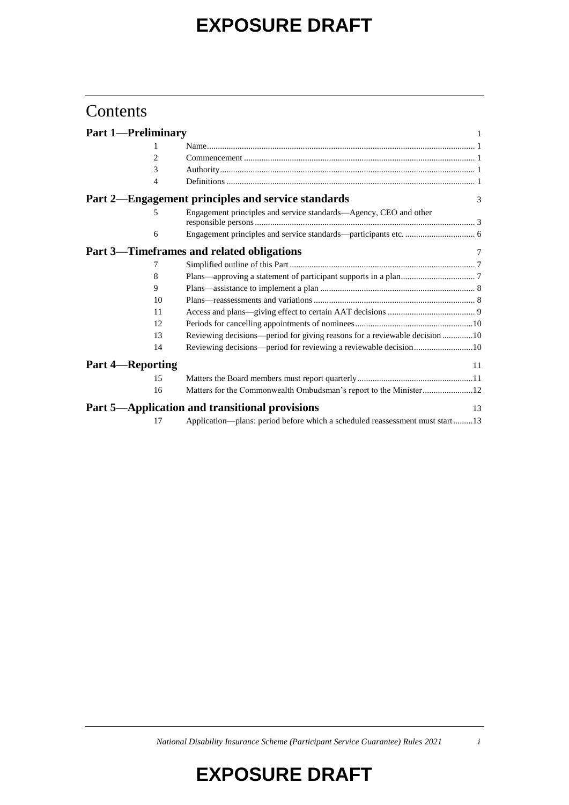### **Contents**

| <b>Part 1-Preliminary</b> |                                                                              |               |
|---------------------------|------------------------------------------------------------------------------|---------------|
| 1                         |                                                                              |               |
| $\overline{c}$            |                                                                              |               |
| 3                         |                                                                              |               |
| 4                         |                                                                              |               |
|                           | Part 2—Engagement principles and service standards                           | $\mathcal{F}$ |
| 5                         | Engagement principles and service standards-Agency, CEO and other            |               |
| 6                         |                                                                              |               |
|                           | Part 3—Timeframes and related obligations                                    |               |
| 7                         |                                                                              |               |
| 8                         |                                                                              |               |
| 9                         |                                                                              |               |
| 10                        |                                                                              |               |
| 11                        |                                                                              |               |
| 12                        |                                                                              |               |
| 13                        | Reviewing decisions—period for giving reasons for a reviewable decision 10   |               |
| 14                        | Reviewing decisions—period for reviewing a reviewable decision10             |               |
| <b>Part 4-Reporting</b>   | 11                                                                           |               |
| 15                        |                                                                              |               |
| 16                        | Matters for the Commonwealth Ombudsman's report to the Minister12            |               |
|                           | Part 5—Application and transitional provisions<br>13                         |               |
| 17                        | Application-plans: period before which a scheduled reassessment must start13 |               |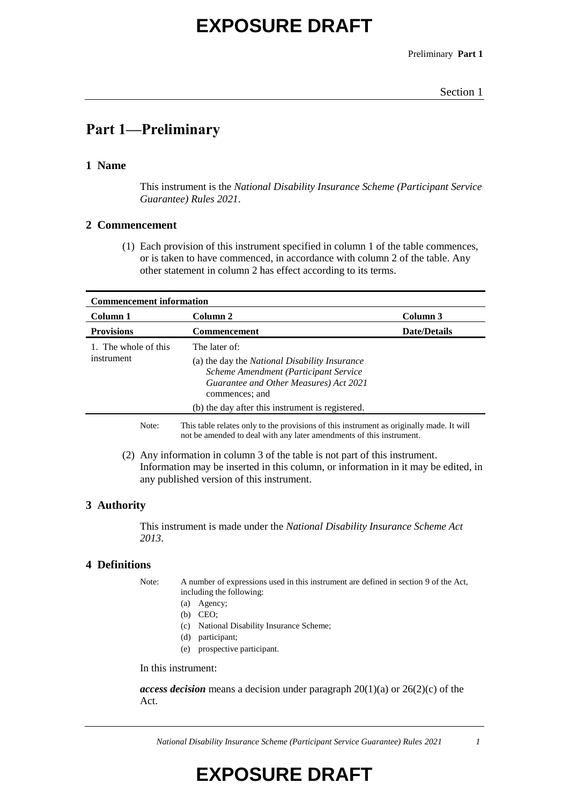Preliminary **Part 1**

### **Part 1—Preliminary**

#### **1 Name**

This instrument is the *National Disability Insurance Scheme (Participant Service Guarantee) Rules 2021*.

#### **2 Commencement**

(1) Each provision of this instrument specified in column 1 of the table commences, or is taken to have commenced, in accordance with column 2 of the table. Any other statement in column 2 has effect according to its terms.

| <b>Commencement information</b>                                                                                                                          |                     |  |  |
|----------------------------------------------------------------------------------------------------------------------------------------------------------|---------------------|--|--|
| Column 2                                                                                                                                                 | Column 3            |  |  |
| Commencement                                                                                                                                             | <b>Date/Details</b> |  |  |
| The later of:<br>(a) the day the <i>National Disability Insurance</i><br>Scheme Amendment (Participant Service<br>Guarantee and Other Measures) Act 2021 |                     |  |  |
| (b) the day after this instrument is registered.                                                                                                         |                     |  |  |
|                                                                                                                                                          | commences; and      |  |  |

Note: This table relates only to the provisions of this instrument as originally made. It will not be amended to deal with any later amendments of this instrument.

(2) Any information in column 3 of the table is not part of this instrument. Information may be inserted in this column, or information in it may be edited, in any published version of this instrument.

#### **3 Authority**

This instrument is made under the *National Disability Insurance Scheme Act 2013*.

#### **4 Definitions**

Note: A number of expressions used in this instrument are defined in section 9 of the Act, including the following:

- (a) Agency;
- (b) CEO;
- (c) National Disability Insurance Scheme;
- (d) participant;
- (e) prospective participant.

In this instrument:

*access decision* means a decision under paragraph 20(1)(a) or 26(2)(c) of the Act.

*National Disability Insurance Scheme (Participant Service Guarantee) Rules 2021 1*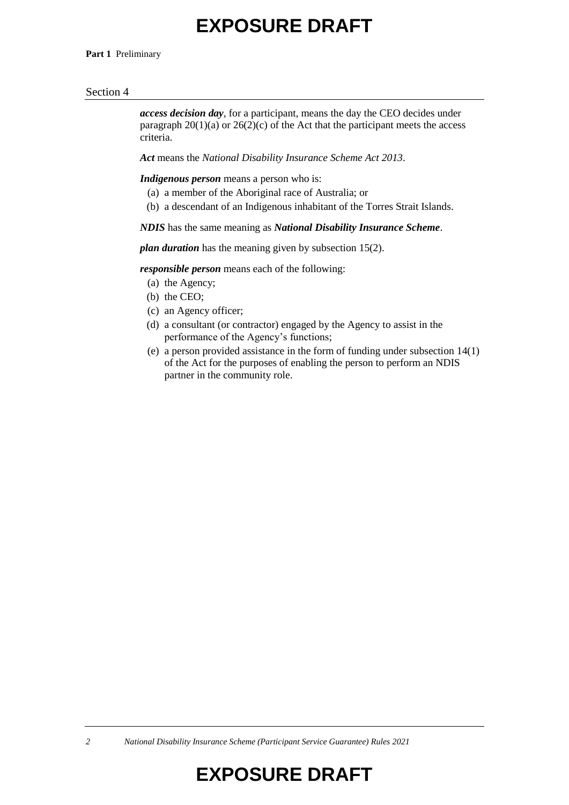#### **Part 1** Preliminary

#### Section 4

*access decision day*, for a participant, means the day the CEO decides under paragraph  $20(1)(a)$  or  $26(2)(c)$  of the Act that the participant meets the access criteria.

*Act* means the *National Disability Insurance Scheme Act 2013*.

*Indigenous person* means a person who is:

- (a) a member of the Aboriginal race of Australia; or
- (b) a descendant of an Indigenous inhabitant of the Torres Strait Islands.

*NDIS* has the same meaning as *National Disability Insurance Scheme*.

*plan duration* has the meaning given by subsection 15(2).

*responsible person* means each of the following:

- (a) the Agency;
- (b) the CEO;
- (c) an Agency officer;
- (d) a consultant (or contractor) engaged by the Agency to assist in the performance of the Agency's functions;
- (e) a person provided assistance in the form of funding under subsection 14(1) of the Act for the purposes of enabling the person to perform an NDIS partner in the community role.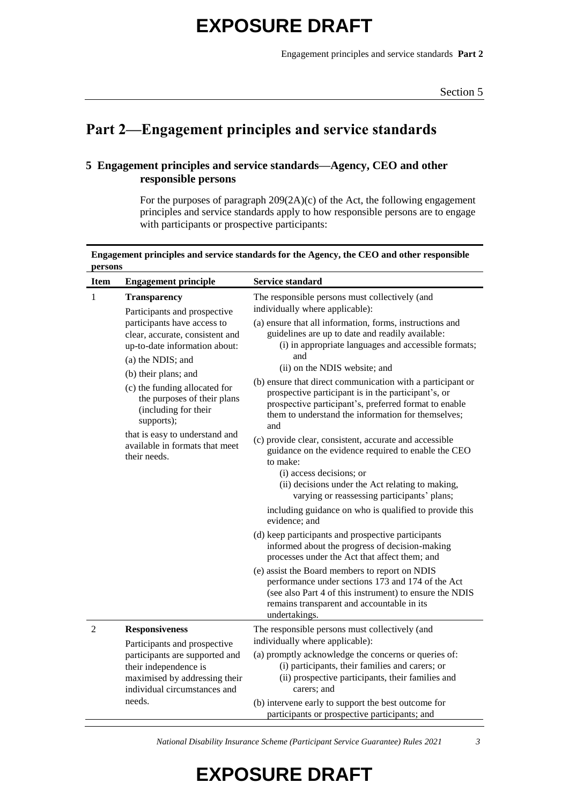Engagement principles and service standards **Part 2**

### **Part 2—Engagement principles and service standards**

#### **5 Engagement principles and service standards—Agency, CEO and other responsible persons**

For the purposes of paragraph 209(2A)(c) of the Act, the following engagement principles and service standards apply to how responsible persons are to engage with participants or prospective participants:

| Engagement principles and service standards for the Agency, the CEO and other responsible |  |
|-------------------------------------------------------------------------------------------|--|
| persons                                                                                   |  |

| <b>Item</b>    | <b>Engagement principle</b>                                                                                                                                                                                                                                                                                                            | <b>Service standard</b>                                                                                                                                                                                                                                                                                                                                                                                                                                                                                                                                                                          |
|----------------|----------------------------------------------------------------------------------------------------------------------------------------------------------------------------------------------------------------------------------------------------------------------------------------------------------------------------------------|--------------------------------------------------------------------------------------------------------------------------------------------------------------------------------------------------------------------------------------------------------------------------------------------------------------------------------------------------------------------------------------------------------------------------------------------------------------------------------------------------------------------------------------------------------------------------------------------------|
| 1              | <b>Transparency</b><br>Participants and prospective                                                                                                                                                                                                                                                                                    | The responsible persons must collectively (and<br>individually where applicable):                                                                                                                                                                                                                                                                                                                                                                                                                                                                                                                |
|                | participants have access to<br>clear, accurate, consistent and<br>up-to-date information about:<br>(a) the NDIS; and<br>(b) their plans; and<br>(c) the funding allocated for<br>the purposes of their plans<br>(including for their<br>supports);<br>that is easy to understand and<br>available in formats that meet<br>their needs. | (a) ensure that all information, forms, instructions and<br>guidelines are up to date and readily available:<br>(i) in appropriate languages and accessible formats;<br>and<br>(ii) on the NDIS website; and<br>(b) ensure that direct communication with a participant or<br>prospective participant is in the participant's, or<br>prospective participant's, preferred format to enable<br>them to understand the information for themselves;<br>and<br>(c) provide clear, consistent, accurate and accessible<br>guidance on the evidence required to enable the CEO<br>to make:             |
|                |                                                                                                                                                                                                                                                                                                                                        | (i) access decisions; or<br>(ii) decisions under the Act relating to making,<br>varying or reassessing participants' plans;<br>including guidance on who is qualified to provide this<br>evidence: and<br>(d) keep participants and prospective participants<br>informed about the progress of decision-making<br>processes under the Act that affect them; and<br>(e) assist the Board members to report on NDIS<br>performance under sections 173 and 174 of the Act<br>(see also Part 4 of this instrument) to ensure the NDIS<br>remains transparent and accountable in its<br>undertakings. |
| $\overline{2}$ | <b>Responsiveness</b><br>Participants and prospective<br>participants are supported and<br>their independence is<br>maximised by addressing their<br>individual circumstances and                                                                                                                                                      | The responsible persons must collectively (and<br>individually where applicable):<br>(a) promptly acknowledge the concerns or queries of:<br>(i) participants, their families and carers; or<br>(ii) prospective participants, their families and<br>carers; and                                                                                                                                                                                                                                                                                                                                 |
|                | needs.                                                                                                                                                                                                                                                                                                                                 | (b) intervene early to support the best outcome for<br>participants or prospective participants; and                                                                                                                                                                                                                                                                                                                                                                                                                                                                                             |

*National Disability Insurance Scheme (Participant Service Guarantee) Rules 2021 3*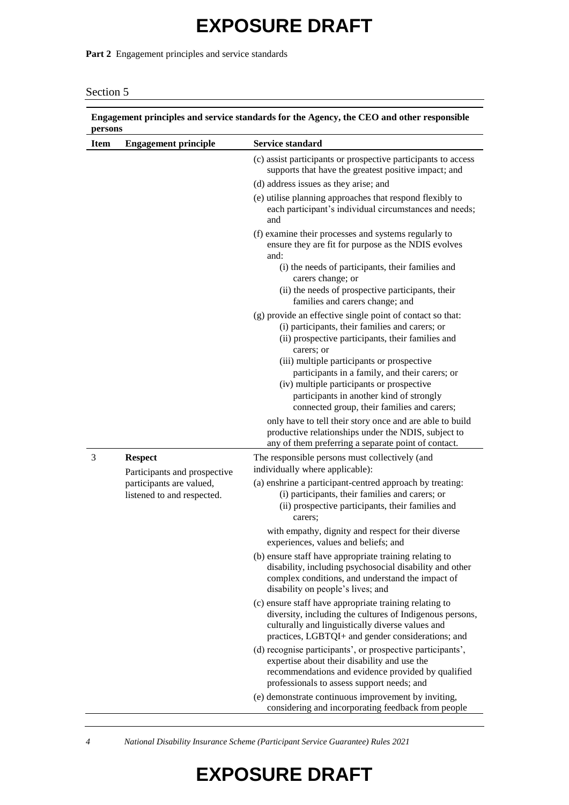Part 2 Engagement principles and service standards

| Section 5 |  |
|-----------|--|
|           |  |

| <b>Item</b> | <b>Engagement principle</b>                                                                              | <b>Service standard</b>                                                                                                                                                                                                              |
|-------------|----------------------------------------------------------------------------------------------------------|--------------------------------------------------------------------------------------------------------------------------------------------------------------------------------------------------------------------------------------|
|             |                                                                                                          | (c) assist participants or prospective participants to access<br>supports that have the greatest positive impact; and                                                                                                                |
|             |                                                                                                          | (d) address issues as they arise; and                                                                                                                                                                                                |
|             |                                                                                                          | (e) utilise planning approaches that respond flexibly to<br>each participant's individual circumstances and needs;<br>and                                                                                                            |
|             |                                                                                                          | (f) examine their processes and systems regularly to<br>ensure they are fit for purpose as the NDIS evolves<br>and:                                                                                                                  |
|             |                                                                                                          | (i) the needs of participants, their families and<br>carers change; or<br>(ii) the needs of prospective participants, their                                                                                                          |
|             |                                                                                                          | families and carers change; and                                                                                                                                                                                                      |
|             |                                                                                                          | (g) provide an effective single point of contact so that:<br>(i) participants, their families and carers; or<br>(ii) prospective participants, their families and<br>carers; or                                                      |
|             |                                                                                                          | (iii) multiple participants or prospective<br>participants in a family, and their carers; or<br>(iv) multiple participants or prospective<br>participants in another kind of strongly<br>connected group, their families and carers; |
|             |                                                                                                          | only have to tell their story once and are able to build<br>productive relationships under the NDIS, subject to<br>any of them preferring a separate point of contact.                                                               |
| 3           | <b>Respect</b><br>Participants and prospective<br>participants are valued,<br>listened to and respected. | The responsible persons must collectively (and<br>individually where applicable):                                                                                                                                                    |
|             |                                                                                                          | (a) enshrine a participant-centred approach by treating:<br>(i) participants, their families and carers; or<br>(ii) prospective participants, their families and<br>carers:                                                          |
|             |                                                                                                          | with empathy, dignity and respect for their diverse<br>experiences, values and beliefs; and                                                                                                                                          |
|             |                                                                                                          | (b) ensure staff have appropriate training relating to<br>disability, including psychosocial disability and other<br>complex conditions, and understand the impact of<br>disability on people's lives; and                           |
|             |                                                                                                          | (c) ensure staff have appropriate training relating to<br>diversity, including the cultures of Indigenous persons,<br>culturally and linguistically diverse values and<br>practices, LGBTQI+ and gender considerations; and          |
|             |                                                                                                          | (d) recognise participants', or prospective participants',<br>expertise about their disability and use the<br>recommendations and evidence provided by qualified<br>professionals to assess support needs; and                       |
|             |                                                                                                          | (e) demonstrate continuous improvement by inviting,<br>considering and incorporating feedback from people                                                                                                                            |

*4 National Disability Insurance Scheme (Participant Service Guarantee) Rules 2021*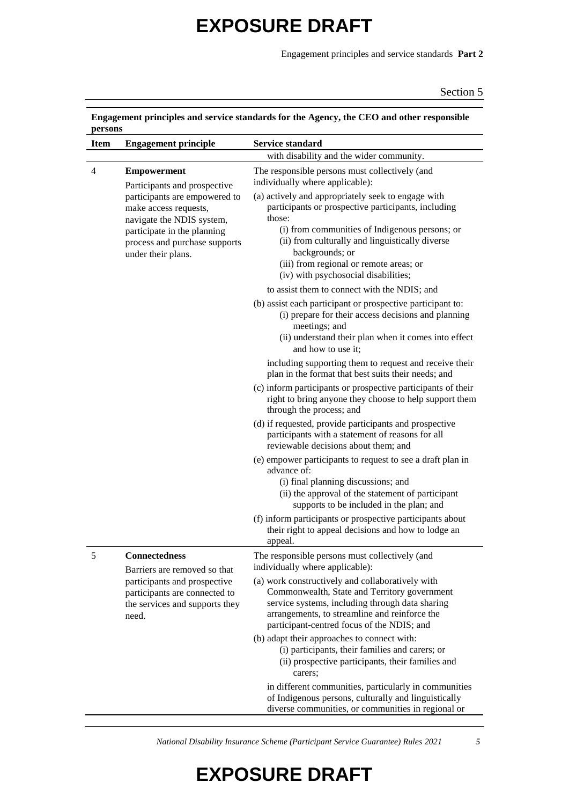Engagement principles and service standards **Part 2**

Section 5

| <b>Item</b> | <b>Engagement principle</b>                                                                                                                                               | <b>Service standard</b>                                                                                                                                                                                                                            |
|-------------|---------------------------------------------------------------------------------------------------------------------------------------------------------------------------|----------------------------------------------------------------------------------------------------------------------------------------------------------------------------------------------------------------------------------------------------|
|             |                                                                                                                                                                           | with disability and the wider community.                                                                                                                                                                                                           |
| 4           | <b>Empowerment</b><br>Participants and prospective                                                                                                                        | The responsible persons must collectively (and<br>individually where applicable):                                                                                                                                                                  |
|             | participants are empowered to<br>make access requests,<br>navigate the NDIS system,<br>participate in the planning<br>process and purchase supports<br>under their plans. | (a) actively and appropriately seek to engage with<br>participants or prospective participants, including<br>those:<br>(i) from communities of Indigenous persons; or<br>(ii) from culturally and linguistically diverse<br>backgrounds; or        |
|             |                                                                                                                                                                           | (iii) from regional or remote areas; or<br>(iv) with psychosocial disabilities;                                                                                                                                                                    |
|             |                                                                                                                                                                           | to assist them to connect with the NDIS; and                                                                                                                                                                                                       |
|             |                                                                                                                                                                           | (b) assist each participant or prospective participant to:<br>(i) prepare for their access decisions and planning<br>meetings; and<br>(ii) understand their plan when it comes into effect<br>and how to use it;                                   |
|             |                                                                                                                                                                           | including supporting them to request and receive their<br>plan in the format that best suits their needs; and                                                                                                                                      |
|             |                                                                                                                                                                           | (c) inform participants or prospective participants of their<br>right to bring anyone they choose to help support them<br>through the process; and                                                                                                 |
|             |                                                                                                                                                                           | (d) if requested, provide participants and prospective<br>participants with a statement of reasons for all<br>reviewable decisions about them; and                                                                                                 |
|             |                                                                                                                                                                           | (e) empower participants to request to see a draft plan in<br>advance of:<br>(i) final planning discussions; and<br>(ii) the approval of the statement of participant<br>supports to be included in the plan; and                                  |
|             |                                                                                                                                                                           | (f) inform participants or prospective participants about<br>their right to appeal decisions and how to lodge an<br>appeal.                                                                                                                        |
| 5           | <b>Connectedness</b><br>Barriers are removed so that                                                                                                                      | The responsible persons must collectively (and<br>individually where applicable):                                                                                                                                                                  |
|             | participants and prospective<br>participants are connected to<br>the services and supports they<br>need.                                                                  | (a) work constructively and collaboratively with<br>Commonwealth, State and Territory government<br>service systems, including through data sharing<br>arrangements, to streamline and reinforce the<br>participant-centred focus of the NDIS; and |
|             |                                                                                                                                                                           | (b) adapt their approaches to connect with:<br>(i) participants, their families and carers; or<br>(ii) prospective participants, their families and<br>carers;                                                                                     |
|             |                                                                                                                                                                           | in different communities, particularly in communities<br>of Indigenous persons, culturally and linguistically<br>diverse communities, or communities in regional or                                                                                |

# **Engagement principles and service standards for the Agency, the CEO and other responsible**

*National Disability Insurance Scheme (Participant Service Guarantee) Rules 2021 5*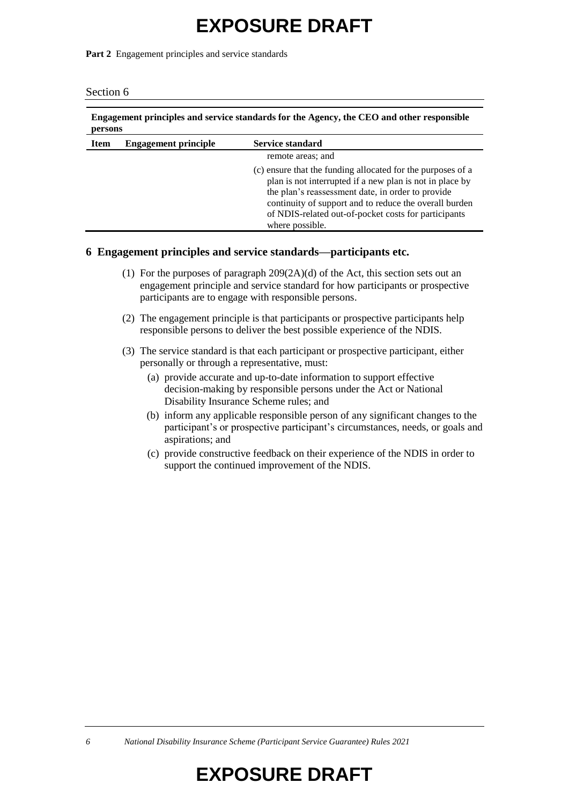Part 2 Engagement principles and service standards

| Engagement principles and service standards for the Agency, the CEO and other responsible<br>persons |                             |                                                                                                                                                                                                                                                                                                                   |
|------------------------------------------------------------------------------------------------------|-----------------------------|-------------------------------------------------------------------------------------------------------------------------------------------------------------------------------------------------------------------------------------------------------------------------------------------------------------------|
| <b>Item</b>                                                                                          | <b>Engagement principle</b> | <b>Service standard</b>                                                                                                                                                                                                                                                                                           |
|                                                                                                      |                             | remote areas; and                                                                                                                                                                                                                                                                                                 |
|                                                                                                      |                             | (c) ensure that the funding allocated for the purposes of a<br>plan is not interrupted if a new plan is not in place by<br>the plan's reassessment date, in order to provide<br>continuity of support and to reduce the overall burden<br>of NDIS-related out-of-pocket costs for participants<br>where possible. |

#### **6 Engagement principles and service standards—participants etc.**

- (1) For the purposes of paragraph 209(2A)(d) of the Act, this section sets out an engagement principle and service standard for how participants or prospective participants are to engage with responsible persons.
- (2) The engagement principle is that participants or prospective participants help responsible persons to deliver the best possible experience of the NDIS.
- (3) The service standard is that each participant or prospective participant, either personally or through a representative, must:
	- (a) provide accurate and up-to-date information to support effective decision-making by responsible persons under the Act or National Disability Insurance Scheme rules; and
	- (b) inform any applicable responsible person of any significant changes to the participant's or prospective participant's circumstances, needs, or goals and aspirations; and
	- (c) provide constructive feedback on their experience of the NDIS in order to support the continued improvement of the NDIS.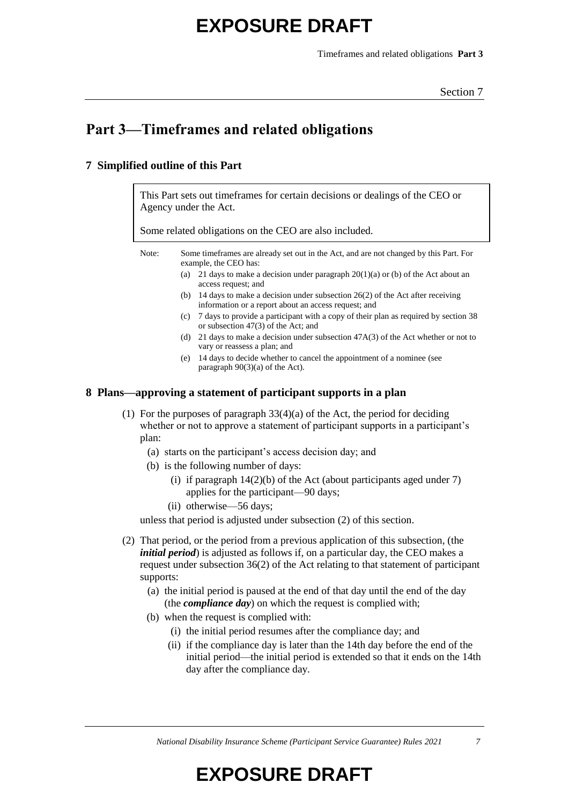Timeframes and related obligations **Part 3**

### **Part 3—Timeframes and related obligations**

#### **7 Simplified outline of this Part**

This Part sets out timeframes for certain decisions or dealings of the CEO or Agency under the Act.

Some related obligations on the CEO are also included.

Note: Some timeframes are already set out in the Act, and are not changed by this Part. For example, the CEO has:

- (a) 21 days to make a decision under paragraph  $20(1)(a)$  or (b) of the Act about an access request; and
- (b) 14 days to make a decision under subsection 26(2) of the Act after receiving information or a report about an access request; and
- (c) 7 days to provide a participant with a copy of their plan as required by section 38 or subsection 47(3) of the Act; and
- (d) 21 days to make a decision under subsection 47A(3) of the Act whether or not to vary or reassess a plan; and
- (e) 14 days to decide whether to cancel the appointment of a nominee (see paragraph 90(3)(a) of the Act).

#### **8 Plans—approving a statement of participant supports in a plan**

- (1) For the purposes of paragraph 33(4)(a) of the Act, the period for deciding whether or not to approve a statement of participant supports in a participant's plan:
	- (a) starts on the participant's access decision day; and
	- (b) is the following number of days:
		- (i) if paragraph  $14(2)(b)$  of the Act (about participants aged under 7) applies for the participant—90 days;
		- (ii) otherwise—56 days;

unless that period is adjusted under subsection (2) of this section.

- (2) That period, or the period from a previous application of this subsection, (the *initial period*) is adjusted as follows if, on a particular day, the CEO makes a request under subsection 36(2) of the Act relating to that statement of participant supports:
	- (a) the initial period is paused at the end of that day until the end of the day (the *compliance day*) on which the request is complied with;
	- (b) when the request is complied with:
		- (i) the initial period resumes after the compliance day; and
		- (ii) if the compliance day is later than the 14th day before the end of the initial period—the initial period is extended so that it ends on the 14th day after the compliance day.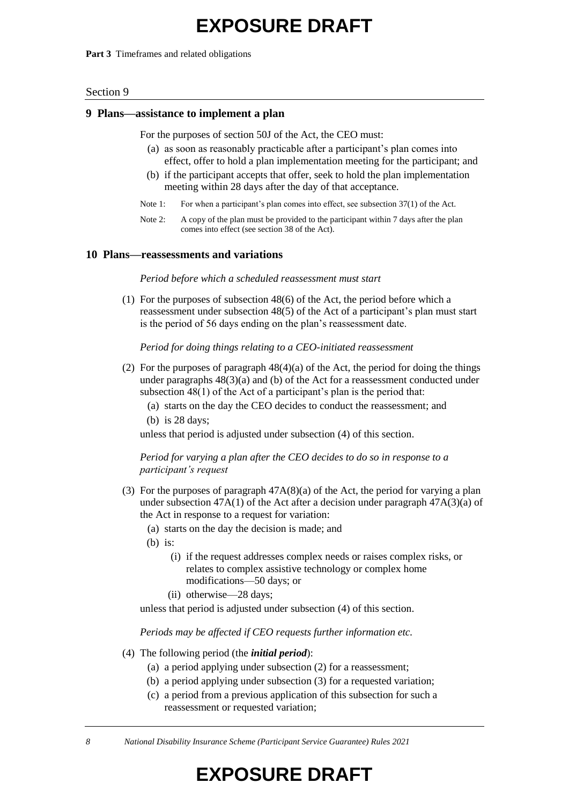**Part 3** Timeframes and related obligations

#### Section 9

#### **9 Plans—assistance to implement a plan**

For the purposes of section 50J of the Act, the CEO must:

- (a) as soon as reasonably practicable after a participant's plan comes into effect, offer to hold a plan implementation meeting for the participant; and
- (b) if the participant accepts that offer, seek to hold the plan implementation meeting within 28 days after the day of that acceptance.
- Note 1: For when a participant's plan comes into effect, see subsection 37(1) of the Act.
- Note 2: A copy of the plan must be provided to the participant within 7 days after the plan comes into effect (see section 38 of the Act).

#### **10 Plans—reassessments and variations**

*Period before which a scheduled reassessment must start*

(1) For the purposes of subsection 48(6) of the Act, the period before which a reassessment under subsection 48(5) of the Act of a participant's plan must start is the period of 56 days ending on the plan's reassessment date.

*Period for doing things relating to a CEO-initiated reassessment*

- (2) For the purposes of paragraph 48(4)(a) of the Act, the period for doing the things under paragraphs 48(3)(a) and (b) of the Act for a reassessment conducted under subsection 48(1) of the Act of a participant's plan is the period that:
	- (a) starts on the day the CEO decides to conduct the reassessment; and (b) is 28 days;

unless that period is adjusted under subsection (4) of this section.

*Period for varying a plan after the CEO decides to do so in response to a participant's request*

- (3) For the purposes of paragraph 47A(8)(a) of the Act, the period for varying a plan under subsection  $47A(1)$  of the Act after a decision under paragraph  $47A(3)(a)$  of the Act in response to a request for variation:
	- (a) starts on the day the decision is made; and
	- (b) is:
		- (i) if the request addresses complex needs or raises complex risks, or relates to complex assistive technology or complex home modifications—50 days; or
		- (ii) otherwise—28 days;

unless that period is adjusted under subsection (4) of this section.

*Periods may be affected if CEO requests further information etc.*

- (4) The following period (the *initial period*):
	- (a) a period applying under subsection (2) for a reassessment;
	- (b) a period applying under subsection (3) for a requested variation;
	- (c) a period from a previous application of this subsection for such a reassessment or requested variation;

*8 National Disability Insurance Scheme (Participant Service Guarantee) Rules 2021*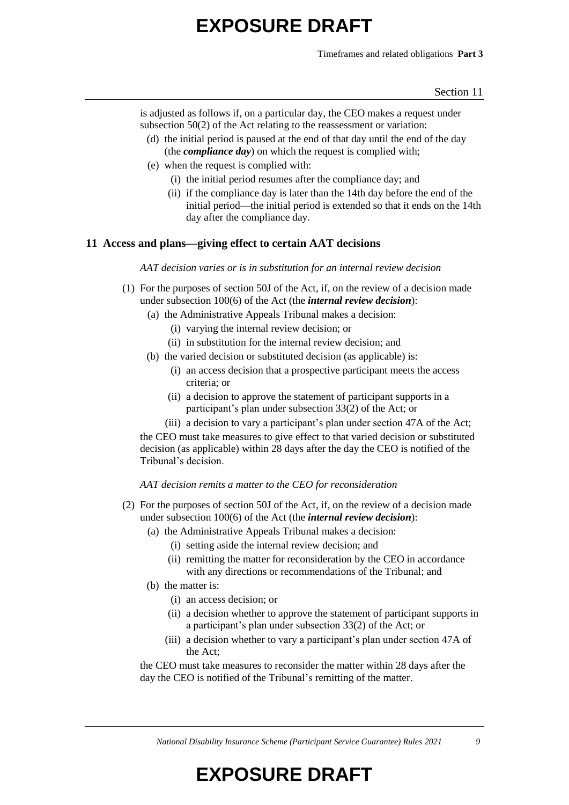Timeframes and related obligations **Part 3**

is adjusted as follows if, on a particular day, the CEO makes a request under subsection 50(2) of the Act relating to the reassessment or variation:

- (d) the initial period is paused at the end of that day until the end of the day (the *compliance day*) on which the request is complied with;
- (e) when the request is complied with:
	- (i) the initial period resumes after the compliance day; and
	- (ii) if the compliance day is later than the 14th day before the end of the initial period—the initial period is extended so that it ends on the 14th day after the compliance day.

#### **11 Access and plans—giving effect to certain AAT decisions**

*AAT decision varies or is in substitution for an internal review decision*

- (1) For the purposes of section 50J of the Act, if, on the review of a decision made under subsection 100(6) of the Act (the *internal review decision*):
	- (a) the Administrative Appeals Tribunal makes a decision:
		- (i) varying the internal review decision; or
		- (ii) in substitution for the internal review decision; and
	- (b) the varied decision or substituted decision (as applicable) is:
		- (i) an access decision that a prospective participant meets the access criteria; or
		- (ii) a decision to approve the statement of participant supports in a participant's plan under subsection 33(2) of the Act; or
		- (iii) a decision to vary a participant's plan under section 47A of the Act;

the CEO must take measures to give effect to that varied decision or substituted decision (as applicable) within 28 days after the day the CEO is notified of the Tribunal's decision.

*AAT decision remits a matter to the CEO for reconsideration*

- (2) For the purposes of section 50J of the Act, if, on the review of a decision made under subsection 100(6) of the Act (the *internal review decision*):
	- (a) the Administrative Appeals Tribunal makes a decision:
		- (i) setting aside the internal review decision; and
		- (ii) remitting the matter for reconsideration by the CEO in accordance with any directions or recommendations of the Tribunal; and
	- (b) the matter is:
		- (i) an access decision; or
		- (ii) a decision whether to approve the statement of participant supports in a participant's plan under subsection 33(2) of the Act; or
		- (iii) a decision whether to vary a participant's plan under section 47A of the Act;

the CEO must take measures to reconsider the matter within 28 days after the day the CEO is notified of the Tribunal's remitting of the matter.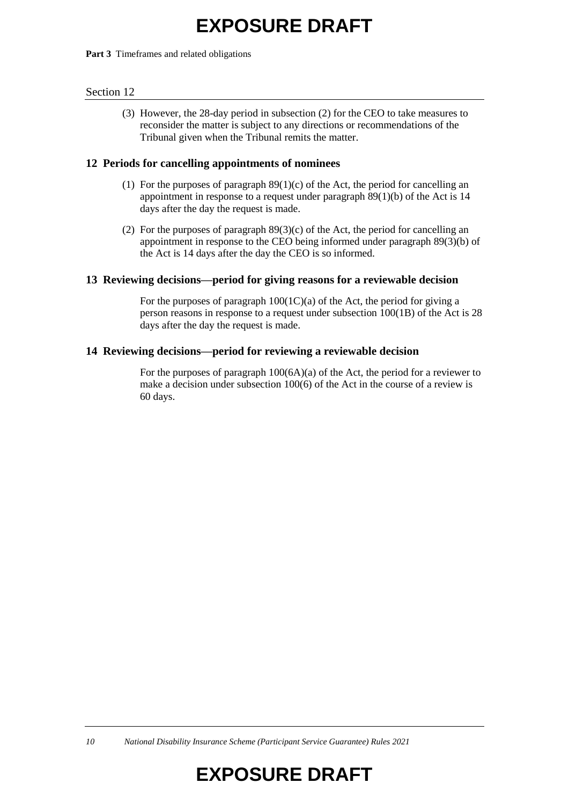#### **Part 3** Timeframes and related obligations

#### Section 12

(3) However, the 28-day period in subsection (2) for the CEO to take measures to reconsider the matter is subject to any directions or recommendations of the Tribunal given when the Tribunal remits the matter.

#### **12 Periods for cancelling appointments of nominees**

- (1) For the purposes of paragraph  $89(1)(c)$  of the Act, the period for cancelling an appointment in response to a request under paragraph 89(1)(b) of the Act is 14 days after the day the request is made.
- (2) For the purposes of paragraph 89(3)(c) of the Act, the period for cancelling an appointment in response to the CEO being informed under paragraph 89(3)(b) of the Act is 14 days after the day the CEO is so informed.

#### **13 Reviewing decisions—period for giving reasons for a reviewable decision**

For the purposes of paragraph  $100(1C)(a)$  of the Act, the period for giving a person reasons in response to a request under subsection 100(1B) of the Act is 28 days after the day the request is made.

#### **14 Reviewing decisions—period for reviewing a reviewable decision**

For the purposes of paragraph 100(6A)(a) of the Act, the period for a reviewer to make a decision under subsection 100(6) of the Act in the course of a review is 60 days.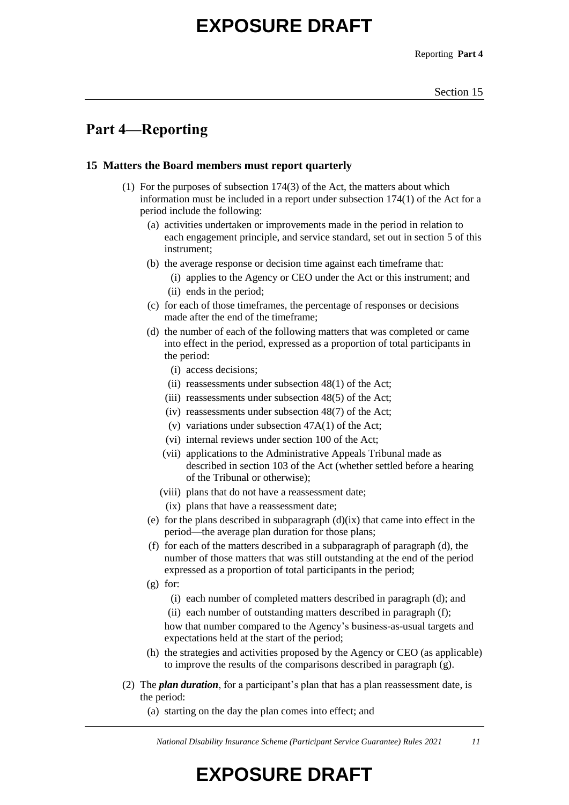Reporting **Part 4**

### **Part 4—Reporting**

#### **15 Matters the Board members must report quarterly**

- (1) For the purposes of subsection 174(3) of the Act, the matters about which information must be included in a report under subsection 174(1) of the Act for a period include the following:
	- (a) activities undertaken or improvements made in the period in relation to each engagement principle, and service standard, set out in section 5 of this instrument;
	- (b) the average response or decision time against each timeframe that:
		- (i) applies to the Agency or CEO under the Act or this instrument; and (ii) ends in the period;
	- (c) for each of those timeframes, the percentage of responses or decisions made after the end of the timeframe;
	- (d) the number of each of the following matters that was completed or came into effect in the period, expressed as a proportion of total participants in the period:
		- (i) access decisions;
		- (ii) reassessments under subsection 48(1) of the Act;
		- (iii) reassessments under subsection 48(5) of the Act;
		- (iv) reassessments under subsection 48(7) of the Act;
		- (v) variations under subsection  $47A(1)$  of the Act;
		- (vi) internal reviews under section 100 of the Act;
		- (vii) applications to the Administrative Appeals Tribunal made as described in section 103 of the Act (whether settled before a hearing of the Tribunal or otherwise);
		- (viii) plans that do not have a reassessment date;
			- (ix) plans that have a reassessment date;
	- (e) for the plans described in subparagraph  $(d)(ix)$  that came into effect in the period—the average plan duration for those plans;
	- (f) for each of the matters described in a subparagraph of paragraph (d), the number of those matters that was still outstanding at the end of the period expressed as a proportion of total participants in the period;
	- $(g)$  for:
		- (i) each number of completed matters described in paragraph (d); and
		- (ii) each number of outstanding matters described in paragraph (f);

how that number compared to the Agency's business-as-usual targets and expectations held at the start of the period;

- (h) the strategies and activities proposed by the Agency or CEO (as applicable) to improve the results of the comparisons described in paragraph (g).
- (2) The *plan duration*, for a participant's plan that has a plan reassessment date, is the period:
	- (a) starting on the day the plan comes into effect; and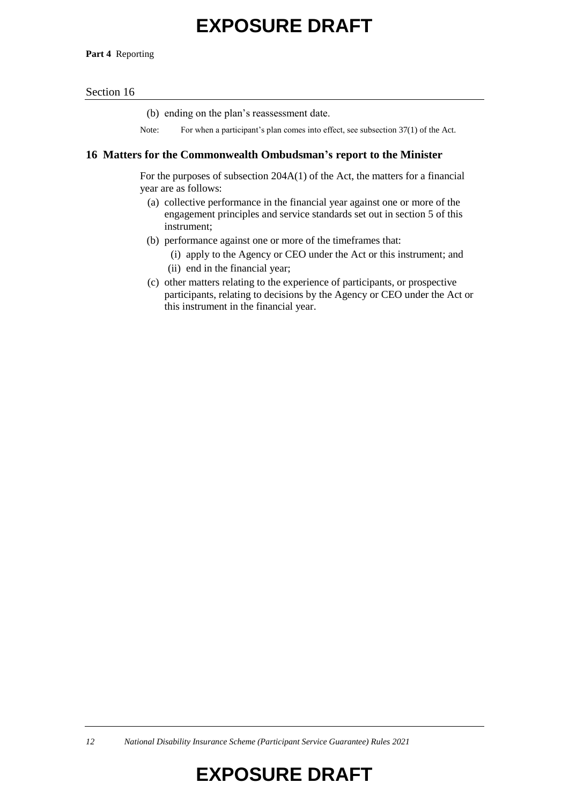**Part 4** Reporting

#### Section 16

(b) ending on the plan's reassessment date.

Note: For when a participant's plan comes into effect, see subsection 37(1) of the Act.

#### **16 Matters for the Commonwealth Ombudsman's report to the Minister**

For the purposes of subsection 204A(1) of the Act, the matters for a financial year are as follows:

- (a) collective performance in the financial year against one or more of the engagement principles and service standards set out in section 5 of this instrument;
- (b) performance against one or more of the timeframes that:
	- (i) apply to the Agency or CEO under the Act or this instrument; and (ii) end in the financial year;
- (c) other matters relating to the experience of participants, or prospective participants, relating to decisions by the Agency or CEO under the Act or this instrument in the financial year.